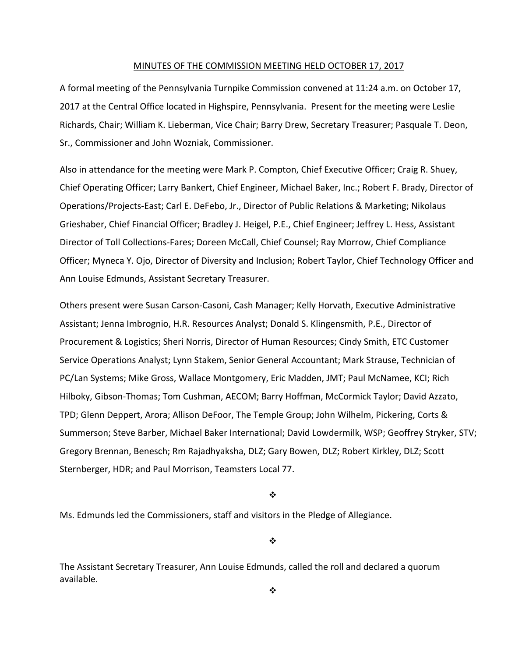#### MINUTES OF THE COMMISSION MEETING HELD OCTOBER 17, 2017

A formal meeting of the Pennsylvania Turnpike Commission convened at 11:24 a.m. on October 17, 2017 at the Central Office located in Highspire, Pennsylvania. Present for the meeting were Leslie Richards, Chair; William K. Lieberman, Vice Chair; Barry Drew, Secretary Treasurer; Pasquale T. Deon, Sr., Commissioner and John Wozniak, Commissioner.

Also in attendance for the meeting were Mark P. Compton, Chief Executive Officer; Craig R. Shuey, Chief Operating Officer; Larry Bankert, Chief Engineer, Michael Baker, Inc.; Robert F. Brady, Director of Operations/Projects‐East; Carl E. DeFebo, Jr., Director of Public Relations & Marketing; Nikolaus Grieshaber, Chief Financial Officer; Bradley J. Heigel, P.E., Chief Engineer; Jeffrey L. Hess, Assistant Director of Toll Collections‐Fares; Doreen McCall, Chief Counsel; Ray Morrow, Chief Compliance Officer; Myneca Y. Ojo, Director of Diversity and Inclusion; Robert Taylor, Chief Technology Officer and Ann Louise Edmunds, Assistant Secretary Treasurer.

Others present were Susan Carson‐Casoni, Cash Manager; Kelly Horvath, Executive Administrative Assistant; Jenna Imbrognio, H.R. Resources Analyst; Donald S. Klingensmith, P.E., Director of Procurement & Logistics; Sheri Norris, Director of Human Resources; Cindy Smith, ETC Customer Service Operations Analyst; Lynn Stakem, Senior General Accountant; Mark Strause, Technician of PC/Lan Systems; Mike Gross, Wallace Montgomery, Eric Madden, JMT; Paul McNamee, KCI; Rich Hilboky, Gibson‐Thomas; Tom Cushman, AECOM; Barry Hoffman, McCormick Taylor; David Azzato, TPD; Glenn Deppert, Arora; Allison DeFoor, The Temple Group; John Wilhelm, Pickering, Corts & Summerson; Steve Barber, Michael Baker International; David Lowdermilk, WSP; Geoffrey Stryker, STV; Gregory Brennan, Benesch; Rm Rajadhyaksha, DLZ; Gary Bowen, DLZ; Robert Kirkley, DLZ; Scott Sternberger, HDR; and Paul Morrison, Teamsters Local 77.

❖

Ms. Edmunds led the Commissioners, staff and visitors in the Pledge of Allegiance.

❖

The Assistant Secretary Treasurer, Ann Louise Edmunds, called the roll and declared a quorum available.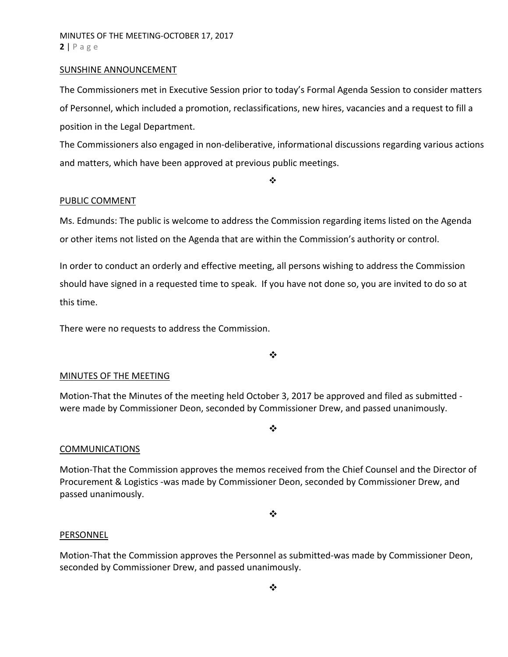#### SUNSHINE ANNOUNCEMENT

The Commissioners met in Executive Session prior to today's Formal Agenda Session to consider matters of Personnel, which included a promotion, reclassifications, new hires, vacancies and a request to fill a position in the Legal Department.

The Commissioners also engaged in non‐deliberative, informational discussions regarding various actions and matters, which have been approved at previous public meetings.

❖

#### PUBLIC COMMENT

Ms. Edmunds: The public is welcome to address the Commission regarding items listed on the Agenda or other items not listed on the Agenda that are within the Commission's authority or control.

In order to conduct an orderly and effective meeting, all persons wishing to address the Commission should have signed in a requested time to speak. If you have not done so, you are invited to do so at this time.

There were no requests to address the Commission.

 $\cdot$ 

#### MINUTES OF THE MEETING

Motion‐That the Minutes of the meeting held October 3, 2017 be approved and filed as submitted ‐ were made by Commissioner Deon, seconded by Commissioner Drew, and passed unanimously.

#### **COMMUNICATIONS**

Motion‐That the Commission approves the memos received from the Chief Counsel and the Director of Procurement & Logistics ‐was made by Commissioner Deon, seconded by Commissioner Drew, and passed unanimously.

 $\frac{1}{2}$ 

❖

#### PERSONNEL

Motion‐That the Commission approves the Personnel as submitted‐was made by Commissioner Deon, seconded by Commissioner Drew, and passed unanimously.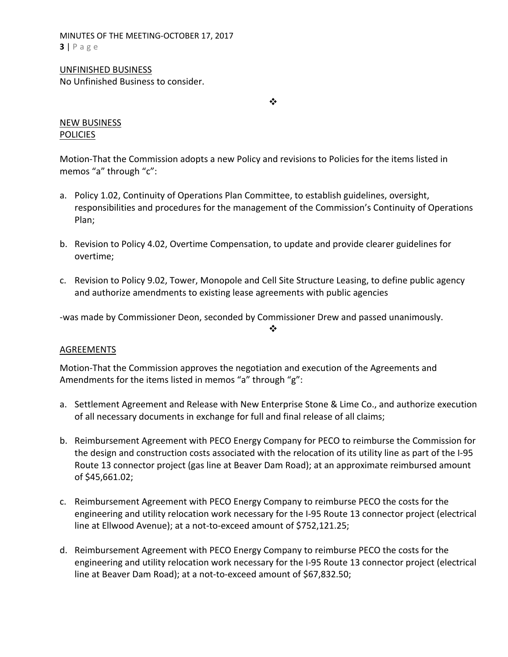MINUTES OF THE MEETING‐OCTOBER 17, 2017 **3** | Page

# UNFINISHED BUSINESS

No Unfinished Business to consider.

 $\frac{1}{2}$ 

# NEW BUSINESS POLICIES

Motion‐That the Commission adopts a new Policy and revisions to Policies for the items listed in memos "a" through "c":

- a. Policy 1.02, Continuity of Operations Plan Committee, to establish guidelines, oversight, responsibilities and procedures for the management of the Commission's Continuity of Operations Plan;
- b. Revision to Policy 4.02, Overtime Compensation, to update and provide clearer guidelines for overtime;
- c. Revision to Policy 9.02, Tower, Monopole and Cell Site Structure Leasing, to define public agency and authorize amendments to existing lease agreements with public agencies

 $\frac{1}{2}$ 

‐was made by Commissioner Deon, seconded by Commissioner Drew and passed unanimously.

# AGREEMENTS

Motion‐That the Commission approves the negotiation and execution of the Agreements and Amendments for the items listed in memos "a" through "g":

- a. Settlement Agreement and Release with New Enterprise Stone & Lime Co., and authorize execution of all necessary documents in exchange for full and final release of all claims;
- b. Reimbursement Agreement with PECO Energy Company for PECO to reimburse the Commission for the design and construction costs associated with the relocation of its utility line as part of the I‐95 Route 13 connector project (gas line at Beaver Dam Road); at an approximate reimbursed amount of \$45,661.02;
- c. Reimbursement Agreement with PECO Energy Company to reimburse PECO the costs for the engineering and utility relocation work necessary for the I‐95 Route 13 connector project (electrical line at Ellwood Avenue); at a not‐to‐exceed amount of \$752,121.25;
- d. Reimbursement Agreement with PECO Energy Company to reimburse PECO the costs for the engineering and utility relocation work necessary for the I‐95 Route 13 connector project (electrical line at Beaver Dam Road); at a not-to-exceed amount of \$67,832.50;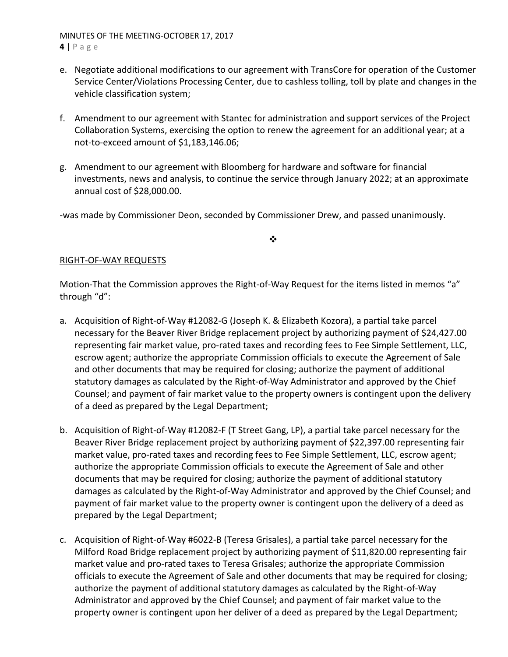# MINUTES OF THE MEETING‐OCTOBER 17, 2017

**4** | Page

- e. Negotiate additional modifications to our agreement with TransCore for operation of the Customer Service Center/Violations Processing Center, due to cashless tolling, toll by plate and changes in the vehicle classification system;
- f. Amendment to our agreement with Stantec for administration and support services of the Project Collaboration Systems, exercising the option to renew the agreement for an additional year; at a not‐to‐exceed amount of \$1,183,146.06;
- g. Amendment to our agreement with Bloomberg for hardware and software for financial investments, news and analysis, to continue the service through January 2022; at an approximate annual cost of \$28,000.00.

‐was made by Commissioner Deon, seconded by Commissioner Drew, and passed unanimously.

## $\frac{1}{2}$

# RIGHT‐OF‐WAY REQUESTS

Motion-That the Commission approves the Right-of-Way Request for the items listed in memos "a" through "d":

- a. Acquisition of Right‐of‐Way #12082‐G (Joseph K. & Elizabeth Kozora), a partial take parcel necessary for the Beaver River Bridge replacement project by authorizing payment of \$24,427.00 representing fair market value, pro-rated taxes and recording fees to Fee Simple Settlement, LLC, escrow agent; authorize the appropriate Commission officials to execute the Agreement of Sale and other documents that may be required for closing; authorize the payment of additional statutory damages as calculated by the Right‐of‐Way Administrator and approved by the Chief Counsel; and payment of fair market value to the property owners is contingent upon the delivery of a deed as prepared by the Legal Department;
- b. Acquisition of Right‐of‐Way #12082‐F (T Street Gang, LP), a partial take parcel necessary for the Beaver River Bridge replacement project by authorizing payment of \$22,397.00 representing fair market value, pro-rated taxes and recording fees to Fee Simple Settlement, LLC, escrow agent; authorize the appropriate Commission officials to execute the Agreement of Sale and other documents that may be required for closing; authorize the payment of additional statutory damages as calculated by the Right‐of‐Way Administrator and approved by the Chief Counsel; and payment of fair market value to the property owner is contingent upon the delivery of a deed as prepared by the Legal Department;
- c. Acquisition of Right‐of‐Way #6022‐B (Teresa Grisales), a partial take parcel necessary for the Milford Road Bridge replacement project by authorizing payment of \$11,820.00 representing fair market value and pro‐rated taxes to Teresa Grisales; authorize the appropriate Commission officials to execute the Agreement of Sale and other documents that may be required for closing; authorize the payment of additional statutory damages as calculated by the Right‐of‐Way Administrator and approved by the Chief Counsel; and payment of fair market value to the property owner is contingent upon her deliver of a deed as prepared by the Legal Department;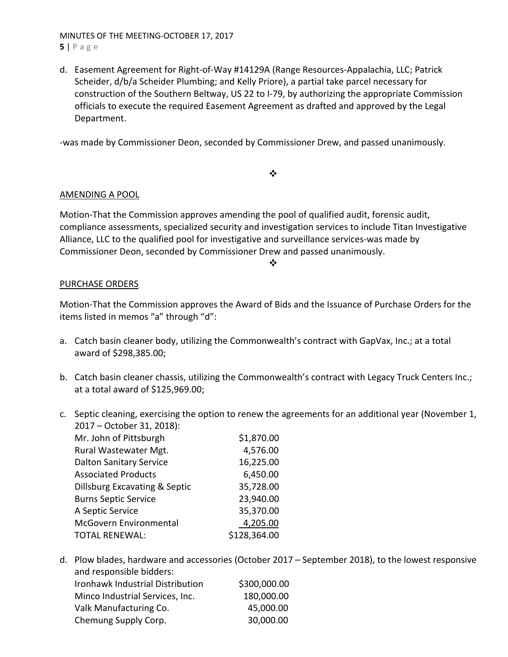## MINUTES OF THE MEETING‐OCTOBER 17, 2017 **5** | Page

d. Easement Agreement for Right‐of‐Way #14129A (Range Resources‐Appalachia, LLC; Patrick Scheider, d/b/a Scheider Plumbing; and Kelly Priore), a partial take parcel necessary for construction of the Southern Beltway, US 22 to I‐79, by authorizing the appropriate Commission officials to execute the required Easement Agreement as drafted and approved by the Legal Department.

‐was made by Commissioner Deon, seconded by Commissioner Drew, and passed unanimously.

## $\frac{1}{2}$

# AMENDING A POOL

Motion‐That the Commission approves amending the pool of qualified audit, forensic audit, compliance assessments, specialized security and investigation services to include Titan Investigative Alliance, LLC to the qualified pool for investigative and surveillance services‐was made by Commissioner Deon, seconded by Commissioner Drew and passed unanimously.

#### ❖

## PURCHASE ORDERS

Motion‐That the Commission approves the Award of Bids and the Issuance of Purchase Orders for the items listed in memos "a" through "d":

- a. Catch basin cleaner body, utilizing the Commonwealth's contract with GapVax, Inc.; at a total award of \$298,385.00;
- b. Catch basin cleaner chassis, utilizing the Commonwealth's contract with Legacy Truck Centers Inc.; at a total award of \$125,969.00;
- c. Septic cleaning, exercising the option to renew the agreements for an additional year (November 1, 2017 – October 31, 2018):

| Mr. John of Pittsburgh         | \$1,870.00   |
|--------------------------------|--------------|
| Rural Wastewater Mgt.          | 4,576.00     |
| <b>Dalton Sanitary Service</b> | 16,225.00    |
| <b>Associated Products</b>     | 6,450.00     |
| Dillsburg Excavating & Septic  | 35,728.00    |
| <b>Burns Septic Service</b>    | 23,940.00    |
| A Septic Service               | 35,370.00    |
| <b>McGovern Environmental</b>  | 4,205.00     |
| <b>TOTAL RENEWAL:</b>          | \$128,364.00 |
|                                |              |

d. Plow blades, hardware and accessories (October 2017 – September 2018), to the lowest responsive and responsible bidders: Ironhawk Industrial Distribution \$300,000.00 Minco Industrial Services, Inc. 180,000.00 Valk Manufacturing Co. 45,000.00 Chemung Supply Corp. 30,000.00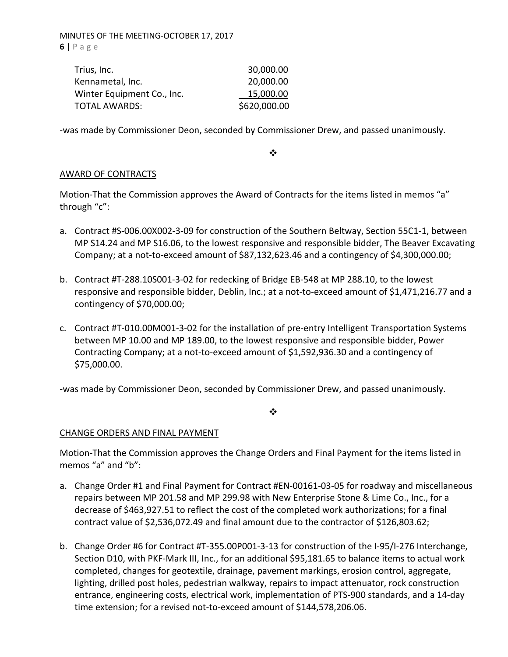MINUTES OF THE MEETING‐OCTOBER 17, 2017 **6** | Page

| Trius, Inc.                | 30,000.00    |
|----------------------------|--------------|
| Kennametal, Inc.           | 20,000.00    |
| Winter Equipment Co., Inc. | 15,000.00    |
| <b>TOTAL AWARDS:</b>       | \$620,000.00 |

‐was made by Commissioner Deon, seconded by Commissioner Drew, and passed unanimously.

❖

## AWARD OF CONTRACTS

Motion‐That the Commission approves the Award of Contracts for the items listed in memos "a" through "c":

- a. Contract #S‐006.00X002‐3‐09 for construction of the Southern Beltway, Section 55C1‐1, between MP S14.24 and MP S16.06, to the lowest responsive and responsible bidder, The Beaver Excavating Company; at a not‐to‐exceed amount of \$87,132,623.46 and a contingency of \$4,300,000.00;
- b. Contract #T‐288.10S001‐3‐02 for redecking of Bridge EB‐548 at MP 288.10, to the lowest responsive and responsible bidder, Deblin, Inc.; at a not-to-exceed amount of \$1,471,216.77 and a contingency of \$70,000.00;
- c. Contract #T‐010.00M001‐3‐02 for the installation of pre‐entry Intelligent Transportation Systems between MP 10.00 and MP 189.00, to the lowest responsive and responsible bidder, Power Contracting Company; at a not‐to‐exceed amount of \$1,592,936.30 and a contingency of \$75,000.00.

‐was made by Commissioner Deon, seconded by Commissioner Drew, and passed unanimously.

❖

#### CHANGE ORDERS AND FINAL PAYMENT

Motion‐That the Commission approves the Change Orders and Final Payment for the items listed in memos "a" and "b":

- a. Change Order #1 and Final Payment for Contract #EN‐00161‐03‐05 for roadway and miscellaneous repairs between MP 201.58 and MP 299.98 with New Enterprise Stone & Lime Co., Inc., for a decrease of \$463,927.51 to reflect the cost of the completed work authorizations; for a final contract value of \$2,536,072.49 and final amount due to the contractor of \$126,803.62;
- b. Change Order #6 for Contract #T‐355.00P001‐3‐13 for construction of the I‐95/I‐276 Interchange, Section D10, with PKF‐Mark III, Inc., for an additional \$95,181.65 to balance items to actual work completed, changes for geotextile, drainage, pavement markings, erosion control, aggregate, lighting, drilled post holes, pedestrian walkway, repairs to impact attenuator, rock construction entrance, engineering costs, electrical work, implementation of PTS‐900 standards, and a 14‐day time extension; for a revised not‐to‐exceed amount of \$144,578,206.06.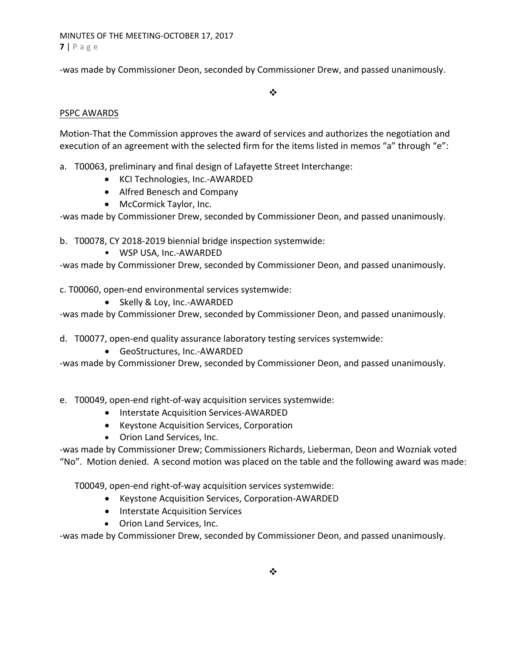MINUTES OF THE MEETING‐OCTOBER 17, 2017 **7** | Page

‐was made by Commissioner Deon, seconded by Commissioner Drew, and passed unanimously.

 $\frac{1}{2}$ 

## PSPC AWARDS

Motion‐That the Commission approves the award of services and authorizes the negotiation and execution of an agreement with the selected firm for the items listed in memos "a" through "e":

- a. T00063, preliminary and final design of Lafayette Street Interchange:
	- KCI Technologies, Inc.-AWARDED
	- Alfred Benesch and Company
	- McCormick Taylor, Inc.

‐was made by Commissioner Drew, seconded by Commissioner Deon, and passed unanimously.

b. T00078, CY 2018‐2019 biennial bridge inspection systemwide:

• WSP USA, Inc.‐AWARDED

‐was made by Commissioner Drew, seconded by Commissioner Deon, and passed unanimously.

c. T00060, open‐end environmental services systemwide:

● Skelly & Loy, Inc.-AWARDED

‐was made by Commissioner Drew, seconded by Commissioner Deon, and passed unanimously.

d. T00077, open‐end quality assurance laboratory testing services systemwide:

● GeoStructures, Inc.-AWARDED

‐was made by Commissioner Drew, seconded by Commissioner Deon, and passed unanimously.

e. T00049, open‐end right‐of‐way acquisition services systemwide:

- Interstate Acquisition Services-AWARDED
- Keystone Acquisition Services, Corporation
- Orion Land Services, Inc.

‐was made by Commissioner Drew; Commissioners Richards, Lieberman, Deon and Wozniak voted "No". Motion denied. A second motion was placed on the table and the following award was made:

T00049, open‐end right‐of‐way acquisition services systemwide:

- Keystone Acquisition Services, Corporation-AWARDED
- Interstate Acquisition Services
- Orion Land Services, Inc.

‐was made by Commissioner Drew, seconded by Commissioner Deon, and passed unanimously.